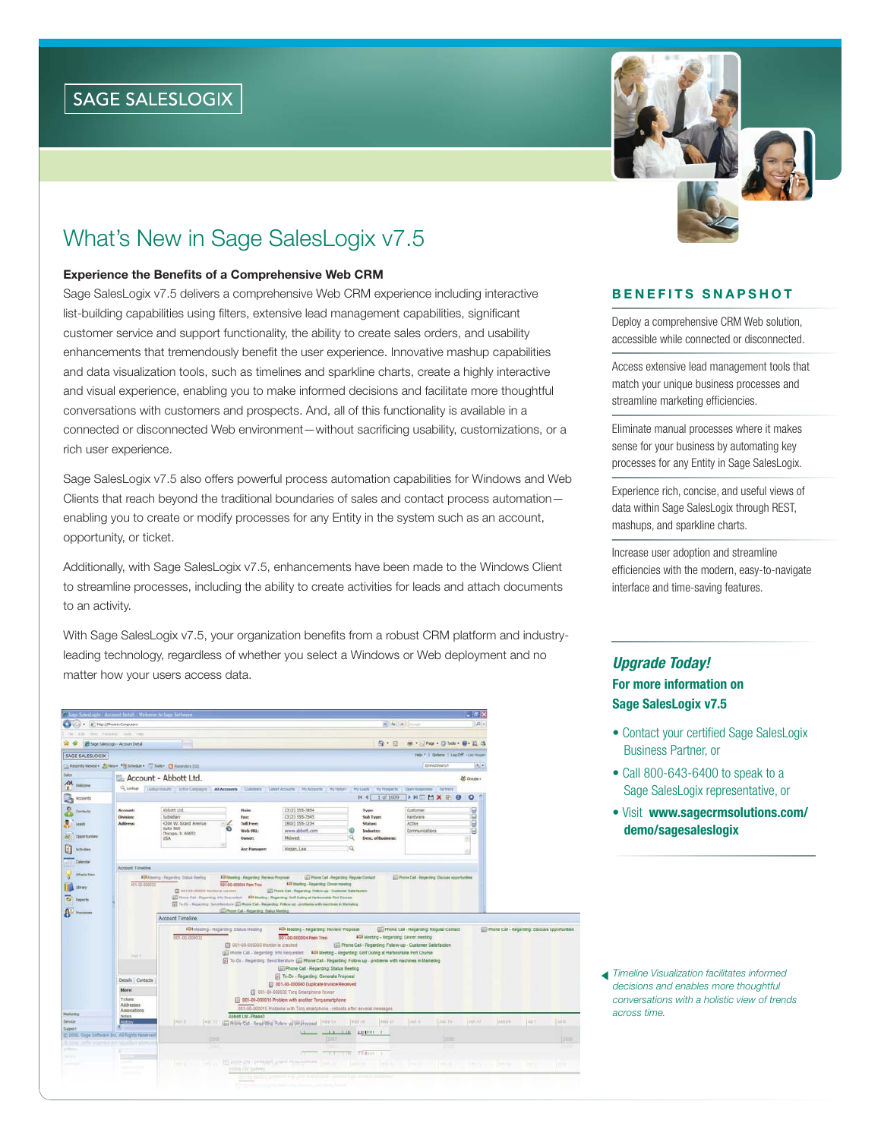# What's New in Sage SalesLogix v7.5

#### **Experience the Benefits of a Comprehensive Web CRM**

Sage SalesLogix v7.5 delivers a comprehensive Web CRM experience including interactive list-building capabilities using filters, extensive lead management capabilities, significant customer service and support functionality, the ability to create sales orders, and usability enhancements that tremendously benefit the user experience. Innovative mashup capabilities and data visualization tools, such as timelines and sparkline charts, create a highly interactive and visual experience, enabling you to make informed decisions and facilitate more thoughtful conversations with customers and prospects. And, all of this functionality is available in a connected or disconnected Web environment—without sacrificing usability, customizations, or a rich user experience.

Sage SalesLogix v7.5 also offers powerful process automation capabilities for Windows and Web Clients that reach beyond the traditional boundaries of sales and contact process automation enabling you to create or modify processes for any Entity in the system such as an account, opportunity, or ticket.

Additionally, with Sage SalesLogix v7.5, enhancements have been made to the Windows Client to streamline processes, including the ability to create activities for leads and attach documents to an activity.

With Sage SalesLogix v7.5, your organization benefits from a robust CRM platform and industryleading technology, regardless of whether you select a Windows or Web deployment and no matter how your users access data.

| Salest sets - Account Detail - Welcame to Sam Software                                         |                                                |                                                                                                                              |                                                                               |                                                                                                                                                                                                                                 |                                                                                                           |                   |                                                     | - 10        |                                                        |              |           |
|------------------------------------------------------------------------------------------------|------------------------------------------------|------------------------------------------------------------------------------------------------------------------------------|-------------------------------------------------------------------------------|---------------------------------------------------------------------------------------------------------------------------------------------------------------------------------------------------------------------------------|-----------------------------------------------------------------------------------------------------------|-------------------|-----------------------------------------------------|-------------|--------------------------------------------------------|--------------|-----------|
|                                                                                                | - IB http://PhoenixConguters                   |                                                                                                                              |                                                                               |                                                                                                                                                                                                                                 |                                                                                                           | $= 4 +  X $ Green |                                                     | $p$ .       |                                                        |              |           |
| Pin.                                                                                           | the me ranche has real                         |                                                                                                                              |                                                                               |                                                                                                                                                                                                                                 |                                                                                                           |                   |                                                     |             |                                                        |              |           |
| û û                                                                                            | <b>28 Sage Salest.ogy</b> - Account Detail     |                                                                                                                              |                                                                               |                                                                                                                                                                                                                                 |                                                                                                           | Q·田               | ※ · Di Page · 日 Tools · 日 · 五 3                     |             |                                                        |              |           |
| SAGE SALESLOGIX                                                                                |                                                |                                                                                                                              |                                                                               |                                                                                                                                                                                                                                 |                                                                                                           |                   | Heb *   Opters   Log Off -Las Hogan                 |             |                                                        |              |           |
|                                                                                                |                                                | C-Recently Viewed . Sy New . For School le . C Tools . C Removies (SZ)                                                       |                                                                               |                                                                                                                                                                                                                                 |                                                                                                           |                   | SpeedSearch                                         | $R_{\rm e}$ |                                                        |              |           |
| Sales                                                                                          |                                                | Lib Account - Abbott Ltd.                                                                                                    |                                                                               |                                                                                                                                                                                                                                 |                                                                                                           |                   |                                                     | OC Groupe - |                                                        |              |           |
| 숖<br>Welcune                                                                                   |                                                | Q Leving   Luxing Results   Achie Cergangre   All Accessive   Curtaners   Lebet Accounts   My Kozards   My Helzey   My Leads |                                                                               |                                                                                                                                                                                                                                 |                                                                                                           | Hy Prospects      | Open Rasponess Partners                             |             |                                                        |              |           |
| 皩<br>Accounts                                                                                  |                                                |                                                                                                                              |                                                                               |                                                                                                                                                                                                                                 | $M = 4$                                                                                                   | 1 of 1009         | <b>INDHXRO</b>                                      | $\circ$     |                                                        |              |           |
| Contacts                                                                                       | Account:                                       | Abbott Ltd.                                                                                                                  | <b>Haim</b>                                                                   | (312) 555-7854                                                                                                                                                                                                                  | Type:                                                                                                     |                   | Customer                                            | COOL        |                                                        |              |           |
|                                                                                                | <b>Divisions</b>                               | Subsidiary                                                                                                                   | Fax:                                                                          | $(312)$ 555-7545                                                                                                                                                                                                                | Sub Type:                                                                                                 |                   | Hardware                                            |             |                                                        |              |           |
| <b>Participate</b>                                                                             | <b>Address:</b>                                | 4206 W. Grand Avenue<br><b>Suite 900</b>                                                                                     | <b>Toll Free:</b>                                                             | (R00) 555-1234                                                                                                                                                                                                                  | <b>Status:</b>                                                                                            |                   | Active                                              |             |                                                        |              |           |
| $\overline{\mathcal{M}}$<br><b>Crewhinles</b>                                                  |                                                | Chicago, 1L 60651                                                                                                            | Web URL:                                                                      | www.abbott.com                                                                                                                                                                                                                  | Industry:                                                                                                 |                   | Communications                                      | Θ           |                                                        |              |           |
|                                                                                                |                                                | <b>USA</b>                                                                                                                   | Owner:                                                                        | <b>Mdwest</b>                                                                                                                                                                                                                   | Desc. of Business:                                                                                        |                   |                                                     | a           |                                                        |              |           |
| ø<br>Activities                                                                                |                                                |                                                                                                                              | <b>Acc Hansger:</b>                                                           | Hogan, Lee                                                                                                                                                                                                                      | 19.                                                                                                       |                   |                                                     | ×           |                                                        |              |           |
|                                                                                                |                                                |                                                                                                                              |                                                                               |                                                                                                                                                                                                                                 |                                                                                                           |                   |                                                     |             |                                                        |              |           |
| Calendar                                                                                       | Account Timeline                               |                                                                                                                              |                                                                               |                                                                                                                                                                                                                                 |                                                                                                           |                   |                                                     |             |                                                        |              |           |
| What's New                                                                                     |                                                | <b>601</b> Meeting - Regarding Status Weeting                                                                                | <b>ADI bleeting - Reparting: Review Propried</b>                              |                                                                                                                                                                                                                                 | (E) Phone Call - Regarding Tragular Contact                                                               |                   | (E) Phone Call - Regarding Discluse reportunities   |             |                                                        |              |           |
| Litery<br><b>Ca</b> Agerts                                                                     | 001-00-000032                                  | ED 201-00-000005 Montar a crained                                                                                            | <b>DO LOG GODDOA Pain Tree:</b>                                               | <b>4DI Meeting - Regarding Dener meeting</b><br>(iii) Phone Call - Regarding Follow-up - Customer Salisfaction<br>(2) Phone Call - Reporting little Requested: NVI Meeting - Reporting: Oalf Outing at Hardmarskie Port Course  |                                                                                                           |                   |                                                     |             |                                                        |              |           |
| $\mathbf{\Omega}^{\times}$ Processes                                                           |                                                | Account Timeline<br><b>601</b> Neeting - Regarding: Status Meeting<br>001.00.000032                                          | Gui Phone Call - Regarding Status Meeting<br>001-00-000005 Martier is cracked | [2] Tr-Dr - Reporting Dand Reroture [2] Phine Call - Regarding Follow up - problems with machines in Marketing<br>101 Meeting - Regarding: Review Proposal<br>001-00-000004 Palm Treo                                           | 101 Meeting - Regarding: Dinner meeting<br>ties Phone Call - Regarding: Follow-up - Customer Satisfaction |                   | <b>IIIII</b> Phone Cal - Regarding: Regular Contact |             | <b>In Phone Call - Reparting Discuss opportunities</b> |              |           |
|                                                                                                | <b>Journ</b>                                   |                                                                                                                              |                                                                               | (iii) Phone Call - Regarding: Info Requested: 404 Meeting - Regarding: Golf Outing at Harbouraide Port Course<br>[2] To Do . Regarding Send Merature ([1] Phone Cal - Regarding Follow up - problems with machines in Marketing |                                                                                                           |                   |                                                     |             |                                                        |              |           |
|                                                                                                |                                                |                                                                                                                              |                                                                               | [jii] Phone Call - Regarding: Status Meeting                                                                                                                                                                                    |                                                                                                           |                   |                                                     |             |                                                        |              |           |
|                                                                                                | <b>Details   Contacts</b>                      |                                                                                                                              |                                                                               | To-Do - Reparting: Generate Proposal                                                                                                                                                                                            |                                                                                                           |                   |                                                     |             |                                                        |              |           |
|                                                                                                | More                                           |                                                                                                                              |                                                                               | @ 801-03-000040 Duplicate Invoice Received                                                                                                                                                                                      |                                                                                                           |                   |                                                     |             |                                                        |              |           |
|                                                                                                | Tickets                                        |                                                                                                                              |                                                                               | 0 021-00-000032 Toro Smartphone Power<br>[1] 001-00-000016 Problem with another Tong smartphone                                                                                                                                 |                                                                                                           |                   |                                                     |             |                                                        |              |           |
|                                                                                                | Addresses                                      |                                                                                                                              |                                                                               | 001-00-000015 Prozens with Torg enartshane - reboots after several messages                                                                                                                                                     |                                                                                                           |                   |                                                     |             |                                                        |              |           |
| Marketing                                                                                      | Associations<br>Notes                          |                                                                                                                              | Essait Ltd. Phase 3                                                           |                                                                                                                                                                                                                                 |                                                                                                           |                   |                                                     |             |                                                        |              |           |
| Service                                                                                        | <b>History</b>                                 | SANCE.<br>AUC15                                                                                                              |                                                                               | May 13<br>III Profile Call - Regarding Follow up the droppeal                                                                                                                                                                   | 10 pr 25                                                                                                  | May 27            | $2$ urt 3<br>Liun.10                                | Jun ST      | TAH1 24                                                | $ J \cup I $ | 124121    |
| Support                                                                                        | ۰                                              |                                                                                                                              |                                                                               |                                                                                                                                                                                                                                 |                                                                                                           |                   |                                                     |             |                                                        |              |           |
|                                                                                                | @ 2008. Sage Software Inc. All Rights Neserved | <b>Trios</b>                                                                                                                 |                                                                               | 12007                                                                                                                                                                                                                           | <b>LESSEN DEMANDER</b>                                                                                    |                   | <b>T</b> uttos                                      |             |                                                        |              | 1500      |
| D-5000 397N 202                                                                                | <b>WHOLTEN</b>                                 |                                                                                                                              |                                                                               |                                                                                                                                                                                                                                 |                                                                                                           |                   | - 3                                                 |             |                                                        |              |           |
| phila.                                                                                         |                                                |                                                                                                                              |                                                                               |                                                                                                                                                                                                                                 | <b>CELLIN TABLE</b>                                                                                       |                   |                                                     |             |                                                        |              |           |
| $\frac{1}{2} \left( \frac{1}{2} \right) \left( \frac{1}{2} \right) \left( \frac{1}{2} \right)$ | متساويس                                        | <b>Information</b>                                                                                                           |                                                                               | THE SALES CAR - CARDINAL PARK AT THE SUPPORT                                                                                                                                                                                    |                                                                                                           |                   |                                                     |             |                                                        |              | <b>No</b> |
|                                                                                                |                                                |                                                                                                                              | visni zarajni (j.                                                             | The state of the state of the production of the second and constituted                                                                                                                                                          |                                                                                                           |                   |                                                     |             |                                                        |              |           |



### **BENEFITS SNAPSHOT**

Deploy a comprehensive CRM Web solution, accessible while connected or disconnected.

Access extensive lead management tools that match your unique business processes and streamline marketing efficiencies.

Eliminate manual processes where it makes sense for your business by automating key processes for any Entity in Sage SalesLogix.

Experience rich, concise, and useful views of data within Sage SalesLogix through REST, mashups, and sparkline charts.

Increase user adoption and streamline efficiencies with the modern, easy-to-navigate interface and time-saving features.

## *Upgrade Today!* **For more information on Sage SalesLogix v7.5**

- Contact your certified Sage SalesLogix Business Partner, or
- Call 800-643-6400 to speak to a Sage SalesLogix representative, or
- Visit **www.sagecrmsolutions.com/ demo/sagesaleslogix**

*Timeline Visualization facilitates informed decisions and enables more thoughtful conversations with a holistic view of trends across time.*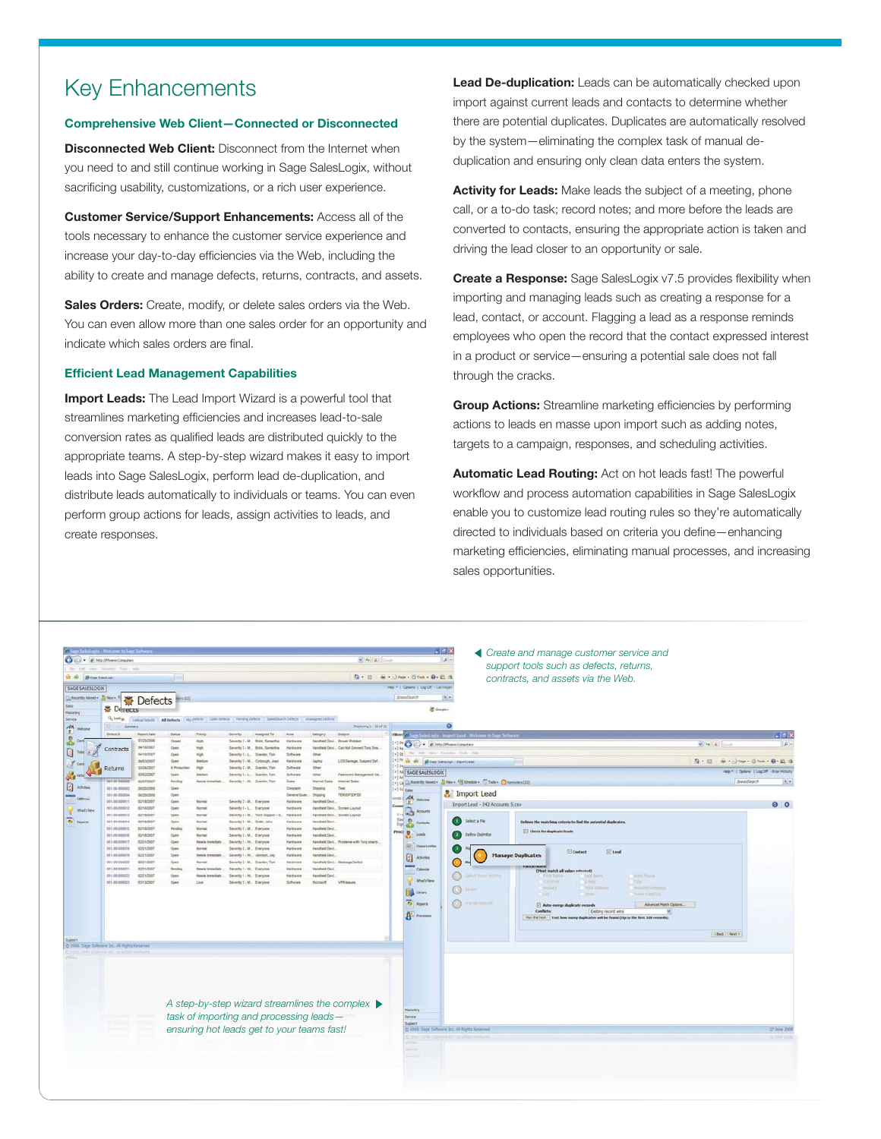# Key Enhancements

#### **Comprehensive Web Client—Connected or Disconnected**

**Disconnected Web Client:** Disconnect from the Internet when you need to and still continue working in Sage SalesLogix, without sacrificing usability, customizations, or a rich user experience.

**Customer Service/Support Enhancements:** Access all of the tools necessary to enhance the customer service experience and increase your day-to-day efficiencies via the Web, including the ability to create and manage defects, returns, contracts, and assets.

**Sales Orders:** Create, modify, or delete sales orders via the Web. You can even allow more than one sales order for an opportunity and indicate which sales orders are final.

#### **Effi cient Lead Management Capabilities**

**Import Leads:** The Lead Import Wizard is a powerful tool that streamlines marketing efficiencies and increases lead-to-sale conversion rates as qualified leads are distributed quickly to the appropriate teams. A step-by-step wizard makes it easy to import leads into Sage SalesLogix, perform lead de-duplication, and distribute leads automatically to individuals or teams. You can even perform group actions for leads, assign activities to leads, and create responses.

**Lead De-duplication:** Leads can be automatically checked upon import against current leads and contacts to determine whether there are potential duplicates. Duplicates are automatically resolved by the system—eliminating the complex task of manual deduplication and ensuring only clean data enters the system.

**Activity for Leads:** Make leads the subject of a meeting, phone call, or a to-do task; record notes; and more before the leads are converted to contacts, ensuring the appropriate action is taken and driving the lead closer to an opportunity or sale.

**Create a Response:** Sage SalesLogix v7.5 provides flexibility when importing and managing leads such as creating a response for a lead, contact, or account. Flagging a lead as a response reminds employees who open the record that the contact expressed interest in a product or service—ensuring a potential sale does not fall through the cracks.

**Group Actions:** Streamline marketing efficiencies by performing actions to leads en masse upon import such as adding notes, targets to a campaign, responses, and scheduling activities.

**Automatic Lead Routing:** Act on hot leads fast! The powerful workflow and process automation capabilities in Sage SalesLogix enable you to customize lead routing rules so they're automatically directed to individuals based on criteria you define—enhancing marketing efficiencies, eliminating manual processes, and increasing sales opportunities.

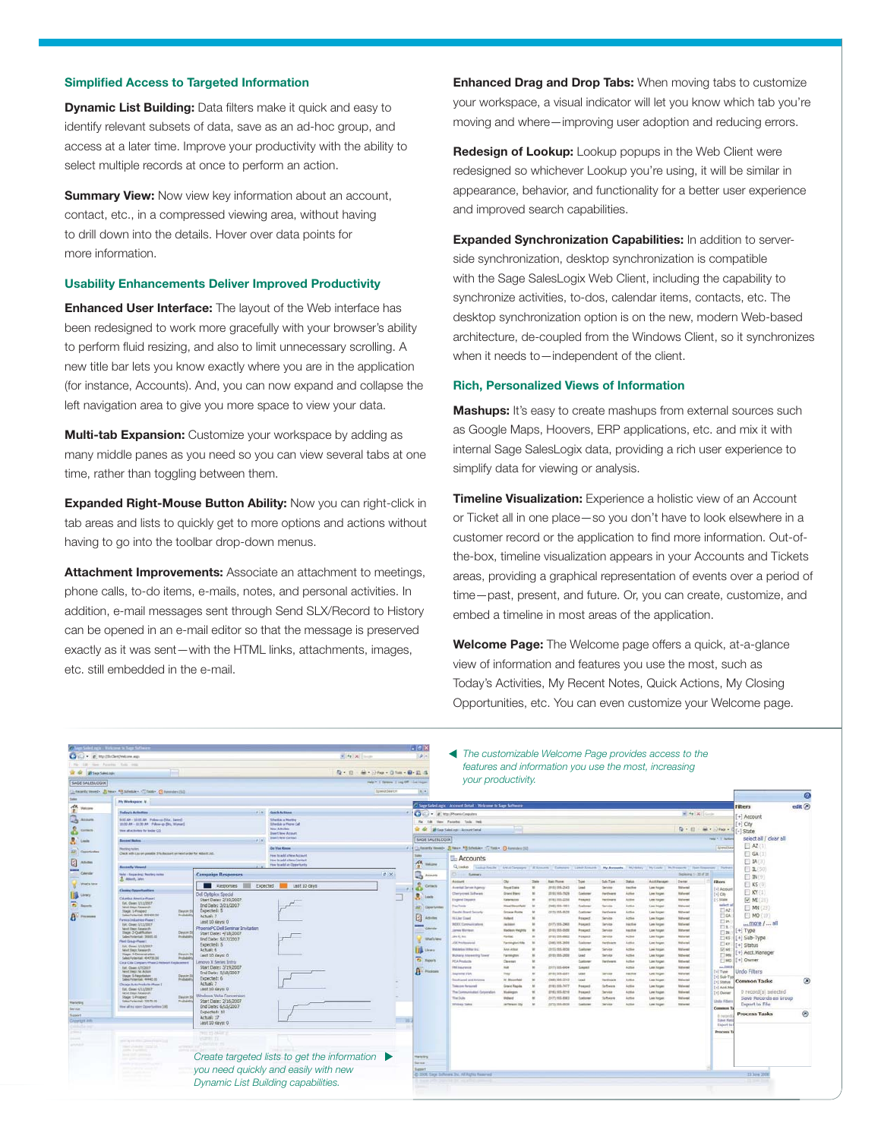#### **Simplified Access to Targeted Information**

**Dynamic List Building:** Data filters make it quick and easy to identify relevant subsets of data, save as an ad-hoc group, and access at a later time. Improve your productivity with the ability to select multiple records at once to perform an action.

**Summary View:** Now view key information about an account, contact, etc., in a compressed viewing area, without having to drill down into the details. Hover over data points for more information.

#### **Usability Enhancements Deliver Improved Productivity**

**Enhanced User Interface:** The layout of the Web interface has been redesigned to work more gracefully with your browser's ability to perform fluid resizing, and also to limit unnecessary scrolling. A new title bar lets you know exactly where you are in the application (for instance, Accounts). And, you can now expand and collapse the left navigation area to give you more space to view your data.

**Multi-tab Expansion:** Customize your workspace by adding as many middle panes as you need so you can view several tabs at one time, rather than toggling between them.

**Expanded Right-Mouse Button Ability:** Now you can right-click in tab areas and lists to quickly get to more options and actions without having to go into the toolbar drop-down menus.

**Attachment Improvements:** Associate an attachment to meetings, phone calls, to-do items, e-mails, notes, and personal activities. In addition, e-mail messages sent through Send SLX/Record to History can be opened in an e-mail editor so that the message is preserved exactly as it was sent—with the HTML links, attachments, images, etc. still embedded in the e-mail.

**Enhanced Drag and Drop Tabs:** When moving tabs to customize your workspace, a visual indicator will let you know which tab you're moving and where—improving user adoption and reducing errors.

**Redesign of Lookup:** Lookup popups in the Web Client were redesigned so whichever Lookup you're using, it will be similar in appearance, behavior, and functionality for a better user experience and improved search capabilities.

**Expanded Synchronization Capabilities:** In addition to serverside synchronization, desktop synchronization is compatible with the Sage SalesLogix Web Client, including the capability to synchronize activities, to-dos, calendar items, contacts, etc. The desktop synchronization option is on the new, modern Web-based architecture, de-coupled from the Windows Client, so it synchronizes when it needs to—independent of the client.

#### **Rich, Personalized Views of Information**

**Mashups:** It's easy to create mashups from external sources such as Google Maps, Hoovers, ERP applications, etc. and mix it with internal Sage SalesLogix data, providing a rich user experience to simplify data for viewing or analysis.

**Timeline Visualization:** Experience a holistic view of an Account or Ticket all in one place—so you don't have to look elsewhere in a customer record or the application to find more information. Out-ofthe-box, timeline visualization appears in your Accounts and Tickets areas, providing a graphical representation of events over a period of time—past, present, and future. Or, you can create, customize, and embed a timeline in most areas of the application.

**Welcome Page:** The Welcome page offers a quick, at-a-glance view of information and features you use the most, such as Today's Activities, My Recent Notes, Quick Actions, My Closing Opportunities, etc. You can even customize your Welcome page.

| Child and Children and St. Land St.<br>CFC . Electrician ap<br>ra 18 me Feering fun ren |                                                                                                         |                                                           | $9.49 \times 1000$                                                              |                                         | - 1913<br>$\mathbf{p}$                                                                                    | The customizable Welcome Page provides access to the                                                                                                 |                                         |  |                                  |                                            |                                      |                                          |                                        |                                      |                                            |                                               |         |
|-----------------------------------------------------------------------------------------|---------------------------------------------------------------------------------------------------------|-----------------------------------------------------------|---------------------------------------------------------------------------------|-----------------------------------------|-----------------------------------------------------------------------------------------------------------|------------------------------------------------------------------------------------------------------------------------------------------------------|-----------------------------------------|--|----------------------------------|--------------------------------------------|--------------------------------------|------------------------------------------|----------------------------------------|--------------------------------------|--------------------------------------------|-----------------------------------------------|---------|
| of of principal statements                                                              |                                                                                                         |                                                           |                                                                                 | Q · (2) 输 · (2hp · 0 lab · 0 · 2) 4     |                                                                                                           | features and information you use the most, increasing                                                                                                |                                         |  |                                  |                                            |                                      |                                          |                                        |                                      |                                            |                                               |         |
| <b>SAGE SALESLINGIN</b>                                                                 |                                                                                                         |                                                           |                                                                                 | rets * Il Ozeres   Lizz Off - Let Huger |                                                                                                           | your productivity.                                                                                                                                   |                                         |  |                                  |                                            |                                      |                                          |                                        |                                      |                                            |                                               |         |
|                                                                                         | G. Reports/Henedy, J. Breve, P. Scheduley, C. Tools  C havenless (10)                                   |                                                           |                                                                                 | <b>Spendieurch</b>                      | 18.19                                                                                                     |                                                                                                                                                      |                                         |  |                                  |                                            |                                      |                                          |                                        |                                      |                                            |                                               |         |
|                                                                                         |                                                                                                         |                                                           |                                                                                 |                                         |                                                                                                           |                                                                                                                                                      |                                         |  |                                  |                                            |                                      |                                          |                                        |                                      |                                            |                                               | 0       |
| 佘<br>Welcome                                                                            | <b>Ply Workspace</b> , M.                                                                               |                                                           |                                                                                 |                                         |                                                                                                           | Sage SalesLagic Account Detail Welcome to Sage Software                                                                                              |                                         |  |                                  |                                            |                                      |                                          |                                        | <b>Filters</b>                       | edit (x)                                   |                                               |         |
|                                                                                         | <b>Today's Activities</b>                                                                               | <b>ATAC</b>                                               | <b>Chair &amp; Arthurs</b>                                                      |                                         | $\epsilon$<br><b>III</b> <sup>141</sup> 21 <sup>(Phoen</sup> ix Conputers)<br>Ci v<br>$+$ $+$ $+$ $+$ $-$ |                                                                                                                                                      |                                         |  |                                  |                                            |                                      |                                          |                                        |                                      |                                            | [+] Account                                   |         |
| $3 \cdots$                                                                              | BOLAN - 1010 AM - Follow up-Ditar, Jamest<br>20:00 AH - 22:30 AH - Fallow up (Br), Warner(              |                                                           | <b>Schuck Jan Advertised</b><br>Silvisia a More Call                            |                                         | Fix Edit<br><b>Here Favornes</b> Tools Help                                                               |                                                                                                                                                      |                                         |  |                                  |                                            |                                      |                                          |                                        |                                      |                                            | $+1$ City                                     |         |
| å<br>Compris                                                                            | Then all actualizes for trader CO.                                                                      |                                                           | <b>New Activities</b><br><b>Insert New Account</b><br><b>Down Marie Contact</b> |                                         |                                                                                                           | 12 G Blaz Second Account Ontal                                                                                                                       |                                         |  |                                  |                                            |                                      |                                          |                                        | Q · (2) · m · php ·                  |                                            | State                                         |         |
| R.                                                                                      | <b>Austral Notes</b>                                                                                    |                                                           |                                                                                 |                                         | rest + 1 Option<br><b>SAGE SALESLOGIK</b>                                                                 |                                                                                                                                                      |                                         |  |                                  |                                            |                                      |                                          |                                        |                                      |                                            | select all / clear all                        |         |
|                                                                                         | <b>Handling</b> Autors                                                                                  |                                                           | <b>Do Vost Knox</b>                                                             |                                         |                                                                                                           | Sheetle<br>Chemic text - Ster - Hitecher Chile, Okensen (12)                                                                                         |                                         |  |                                  |                                            |                                      |                                          |                                        |                                      |                                            |                                               |         |
| <b>AZ</b> Copietadas                                                                    | Check with Lau on possible 3% decount on next order for 406x41.1d.                                      |                                                           | Hen to add a New Account                                                        |                                         |                                                                                                           | <b>Accounts</b>                                                                                                                                      |                                         |  |                                  |                                            |                                      |                                          |                                        |                                      |                                            | $\Box$ GA $\Box$                              |         |
| 团<br>Achilles                                                                           | <b>Bassetty Verend</b>                                                                                  |                                                           | Hoe to self a fere Circlect<br>How to add an Opportunity                        |                                         | <b>AN</b><br><b>Solicitor</b>                                                                             | Q. Linke Laung Aradis Activi Carongre / M. Accurers Launchest Latest Accurers My Accounts Within Physicals My Property Demissources - Participates - |                                         |  |                                  |                                            |                                      |                                          |                                        |                                      |                                            | <b>ET IAC</b>                                 |         |
| - Calendar                                                                              | <b>Note: Enganger Norting raise</b>                                                                     | <b>Campaign Responses</b>                                 |                                                                                 | 0.58                                    | Accounts<br>۰à                                                                                            | Sales                                                                                                                                                |                                         |  |                                  |                                            |                                      |                                          |                                        | Displaying 1 - 30 of 38              |                                            | <b>□1.(50)</b><br><b>EIN</b>                  |         |
| : What's long                                                                           | 2. John R. Level                                                                                        |                                                           |                                                                                 |                                         |                                                                                                           | Action's                                                                                                                                             | Oir                                     |  | <b>Maria Disease</b>             | Type                                       | Sal-Trint                            | <b>Distant</b>                           | Acrt Henage                            | Dane:                                | <b>Hiters</b>                              | $\Box$ KS (0)                                 |         |
|                                                                                         | <b>Cleany Opportunities</b>                                                                             | Expected<br>Responses                                     | Last 10 days                                                                    |                                         | Centecho                                                                                                  | Aventul Server Agency<br>Derivous Jahren                                                                                                             | <b>Singl Date</b><br><b>Crand Blanc</b> |  | (818) 535-2543<br>20101103-7929  | Lond<br>Colored                            | <b>Sanising</b><br><b>Fland ware</b> | <b><i><u>Institute</u></i></b><br>Active | <b>Law Hogan</b><br>Low Horpes         | Diriwani<br><b>Maturest</b>          | [+] Account                                | NY(1)                                         |         |
| <b>Big Livery</b>                                                                       | Columbus America (Traum)                                                                                | Dell Optipiex Special<br>Start Date: 2/19/2007            |                                                                                 |                                         | <b>Leads</b>                                                                                              | <b>Elephanel Decomen</b>                                                                                                                             | Kalensco                                |  | (818) 515-2254                   | <b>Proston</b>                             |                                      | Artist                                   | <b>Lies Hagen</b>                      | Mahinesi                             | $\lbrack \bullet \rbrack$ City<br>-1 Shabe | $[$ MI $($                                    |         |
| <b>TO</b> Automa                                                                        | Fut. Clean: \$711/2007<br>Next Step: Kessach                                                            | End Date: 3/21/2007                                       |                                                                                 |                                         | ×<br><b>Сроитыми</b>                                                                                      | lax Took                                                                                                                                             | West Strawfell                          |  | (240) 555-1201                   | Customs                                    |                                      | <b>Aztive</b>                            | <b>Las Hogan</b>                       | <b><i><u>Millioned</u></i></b>       | telect a<br>口社                             | $\Box$ MN (23)                                |         |
| $A^{\vee}$                                                                              | Tilate: Lifenstoof<br>Deet # 51<br>Sales Potential: 999400.0<br><b>Truckship</b>                        | Expected: 5<br>Actual: 7                                  |                                                                                 |                                         |                                                                                                           | <b>Seatt Brett Secrety</b>                                                                                                                           | <b>System Point</b>                     |  | (313) 555-6526                   | Custome                                    | latinas<br>Service                   | Active<br>Active                         | <b>Las Hogan</b>                       | <b>Michweg</b><br>Waltered           | <b>TTEA</b>                                | $[1$ MO $(10)$                                |         |
|                                                                                         | wrosa Industries Pluge L<br>BK Over \$15,000                                                            | Lest 10 days: 0                                           |                                                                                 |                                         | E<br>ASvilles                                                                                             | Hiller Sower<br><b>REEX Communications</b>                                                                                                           | Holland<br>Jackson                      |  | (517) 555-2968                   | <b>Prospect</b><br>Program                 | <b>Tenite</b>                        | badie                                    | Law Hogan<br>Law Harpert               | Material                             | 口1N                                        | more /  all                                   |         |
|                                                                                         | Next Step: Kewarzh<br><b>Dage: 2-Qualification</b><br>Days m St                                         | PhoenixPC Dell Seminar Imitation<br>Start Date: 4/18/2007 |                                                                                 |                                         | Calendar                                                                                                  | area Maribus                                                                                                                                         | <b>Blackson Heights</b>                 |  | (810) 555-0000                   | <b>Renapect</b>                            | <b>Senior</b>                        | harfut                                   | Los Hoyan                              | <b>Watereal</b>                      | 日料<br>$\Box$ 24                            | +1 Type                                       |         |
|                                                                                         | Tales Potental: 20305.0<br><b>Norwald</b><br>First Group Press 1                                        | End Date: 5/17/2007                                       |                                                                                 |                                         | <b>Silfado New</b>                                                                                        | Jan H. Jam.<br><b>IX Professional</b>                                                                                                                | <b>Forbac</b>                           |  | (818) 535-8902<br>(246) 515-2904 | <b>Program</b> il                          | Tening<br>farthean                   | Artist<br>Address                        | Law Hogan                              | <b>Matureal</b><br><b>University</b> | 口样                                         | +] Sub-Type                                   |         |
|                                                                                         | RA Clase UU/2022<br><b>New York: Renewalk</b>                                                           | Expected: 5<br>Actual: 6                                  |                                                                                 |                                         | <b>IS Unever</b>                                                                                          | <b>Michael and Stationer Station</b>                                                                                                                 | Farrengtes Hite<br>Ann Arker            |  | <b>JAVELANA, Anna</b>            | Evaluate<br><b><i><u>Fundaceur</u></i></b> | Service                              | Artist                                   | Los Hoyen<br>Law Horgan                | Midwest                              | $\Box$ <sub>RT</sub><br>回班                 | +1 Status                                     |         |
|                                                                                         | Stage: 4 Demonstrator<br>Death's<br>Sales Fotermal: 404735.00<br>hidab                                  | Last 10 days: 0                                           |                                                                                 |                                         |                                                                                                           | <b>Bultrarial Adamseding Tower</b>                                                                                                                   | Farmers                                 |  | (818) 555-2604                   | tast                                       | <b>Senior</b>                        | Active                                   | Las Hoger                              | Mithwest                             | <sup>T</sup> T MN                          | +1 Acct. Manager                              |         |
|                                                                                         | Casa Cala Company (Paper) Hichmit Keplasment                                                            | Lemovro X Series Intro<br>Start Date: 3/19/2007           |                                                                                 |                                         | <b>Ca</b> Reports                                                                                         | <b>HTA Restures</b>                                                                                                                                  | Clearers                                |  |                                  | Eugènes                                    | <b>Nantucent</b>                     | Artist                                   | Lee Mager                              | Metuned                              | $\Box$ MO<br>$+ 7923$                      | +] Owner                                      |         |
|                                                                                         | Est. Clean: 4/712027<br>Next Elegi Nr. Actor<br>End Date: 5/18/2007<br>Days in 5<br>Stage: S-hegodafann |                                                           |                                                                                 |                                         | A man                                                                                                     | <b>Ni inszere</b><br>Sapranyi 125A                                                                                                                   | m/s<br>Trip                             |  | 101711054604<br>(410) 543-2261   | Saved<br>Lead                              | Tennis                               | Active<br><b>Bakillon</b>                | Lee Hinger<br><b>Lee Heger</b>         | Midwins<br>Millene                   | Type                                       | Indo Filters                                  |         |
|                                                                                         | Sales Patential: 44442.00<br>Probably                                                                   | Expected: 6<br>Actual: 7                                  |                                                                                 |                                         |                                                                                                           | <b>Stadfraniel and Arizona</b>                                                                                                                       | W. Steamfald                            |  | (248) 585-2212                   | Lami                                       | <b>Markway</b>                       | Active                                   | <b>Law Hogen</b>                       | <b>Distance</b>                      | $-1$ Sub-Ty<br>$[+]$ Status                | Common Tasks                                  | $\circ$ |
|                                                                                         | Chronic Auto Frederic Plaze 1<br>For, Clean 4/11/2027                                                   | List 10 days: 0                                           |                                                                                 |                                         |                                                                                                           | <b>Telescom Fleraunant</b><br>The Communication Convenient                                                                                           | <b>Grand Rayster</b>                    |  | (818) 535-7477<br>(816) 595-8218 | Financial                                  | Satures                              | Active<br>A DEA                          | <b>Law Hargant</b><br><b>Law Hogan</b> | <b>Malaysia</b><br><b>Malaysia</b>   | $[-]$ Acct. Ma                             |                                               |         |
|                                                                                         | <b>Tianet Steps Rangearch</b><br>Stage: 1-Prospect<br>Days in St                                        | Windows Vista Commission                                  |                                                                                 |                                         |                                                                                                           | The Dulls                                                                                                                                            | Weekkeper<br><b>Video</b>               |  | (517) 555-8362                   |                                            | <b>Sufferers</b>                     | Activ                                    | <b>Lan Hagen</b>                       | <b>Malamed</b>                       | [+] Divitar                                | 0 record(s) selected<br>Save Records as Group |         |
| <b>Hartwid</b> re                                                                       | Sales Polemball 72870.05<br><b>Trustado</b><br>tion at my spen Dopo Service DIG                         | Start Date: 2/16/2007<br>End Date: 6/15/2007              |                                                                                 |                                         |                                                                                                           | Widney Takes                                                                                                                                         | Jarltonuse City                         |  | (372) 199-2828                   |                                            |                                      |                                          | Law Hogan                              | <b>STATISTIC</b>                     | <b>Undu Filter</b><br>Communi              | Export to File                                |         |
| <b>Service</b><br>Saport                                                                |                                                                                                         | Expected: 50                                              |                                                                                 |                                         |                                                                                                           |                                                                                                                                                      |                                         |  |                                  |                                            |                                      |                                          |                                        |                                      | A network                                  | <b>Process Tasks</b>                          |         |
| Craymont into                                                                           |                                                                                                         | Actual: 17<br>Lest 10 days: 0                             |                                                                                 |                                         |                                                                                                           |                                                                                                                                                      |                                         |  |                                  |                                            |                                      |                                          |                                        |                                      | <b>Save Net</b><br><b>Eligiort</b> for     |                                               |         |
|                                                                                         |                                                                                                         |                                                           |                                                                                 |                                         |                                                                                                           |                                                                                                                                                      |                                         |  |                                  |                                            |                                      |                                          |                                        |                                      | <b>Process 1</b>                           |                                               |         |
|                                                                                         |                                                                                                         | TWIT 15 SALES<br><b>VONEY</b>                             |                                                                                 |                                         |                                                                                                           |                                                                                                                                                      |                                         |  |                                  |                                            |                                      |                                          |                                        |                                      |                                            |                                               |         |
|                                                                                         | Tribet Livie der Transfer                                                                               |                                                           |                                                                                 |                                         |                                                                                                           |                                                                                                                                                      |                                         |  |                                  |                                            |                                      |                                          |                                        |                                      |                                            |                                               |         |
|                                                                                         | position in a contract<br>Send Old Commercial                                                           |                                                           | Create targeted lists to get the information $\blacktriangleright$              |                                         | <b>Haleting</b>                                                                                           |                                                                                                                                                      |                                         |  |                                  |                                            |                                      |                                          |                                        |                                      |                                            |                                               |         |
|                                                                                         | and a product of the control                                                                            |                                                           | you need quickly and easily with new                                            |                                         | <b>Service</b>                                                                                            |                                                                                                                                                      |                                         |  |                                  |                                            |                                      |                                          |                                        |                                      |                                            |                                               |         |
|                                                                                         |                                                                                                         |                                                           | <b>Separt</b>                                                                   |                                         |                                                                                                           |                                                                                                                                                      |                                         |  |                                  |                                            |                                      |                                          |                                        | 13 June 2008                         |                                            |                                               |         |
|                                                                                         | Dynamic List Building capabilities.                                                                     |                                                           |                                                                                 |                                         |                                                                                                           | 45 2008. Sape Softeners Inc. All Romes Reserved.                                                                                                     |                                         |  |                                  |                                            |                                      |                                          |                                        |                                      |                                            |                                               |         |
|                                                                                         |                                                                                                         |                                                           |                                                                                 |                                         |                                                                                                           |                                                                                                                                                      |                                         |  |                                  |                                            |                                      |                                          |                                        |                                      |                                            |                                               |         |